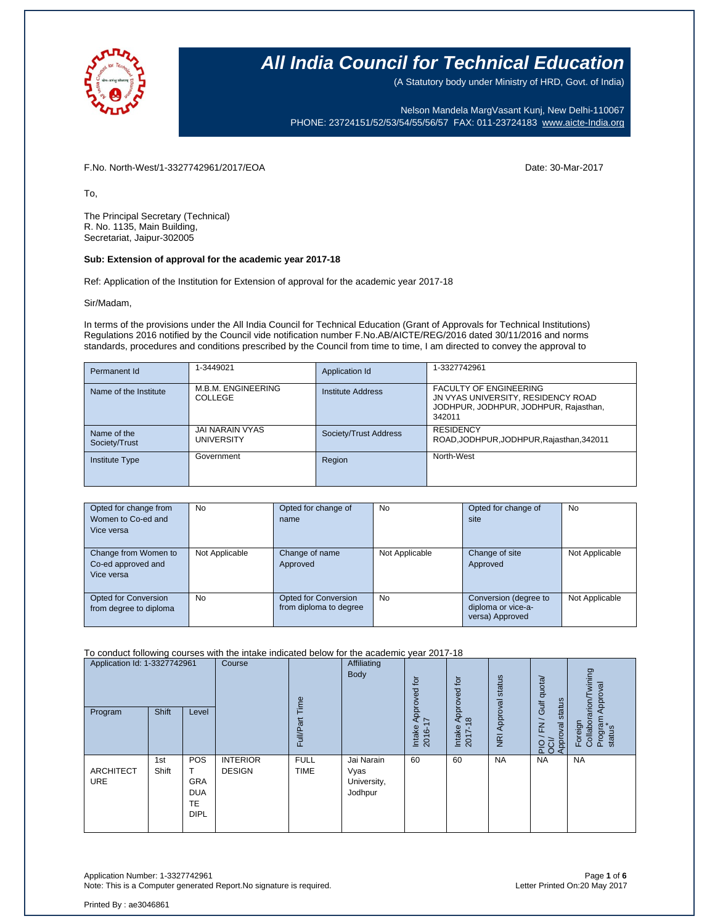

(A Statutory body under Ministry of HRD, Govt. of India)

Nelson Mandela MargVasant Kunj, New Delhi-110067 PHONE: 23724151/52/53/54/55/56/57 FAX: 011-23724183 [www.aicte-India.org](http://www.aicte-india.org/)

F.No. North-West/1-3327742961/2017/EOA Date: 30-Mar-2017

To,

The Principal Secretary (Technical) R. No. 1135, Main Building, Secretariat, Jaipur-302005

#### **Sub: Extension of approval for the academic year 2017-18**

Ref: Application of the Institution for Extension of approval for the academic year 2017-18

Sir/Madam,

In terms of the provisions under the All India Council for Technical Education (Grant of Approvals for Technical Institutions) Regulations 2016 notified by the Council vide notification number F.No.AB/AICTE/REG/2016 dated 30/11/2016 and norms standards, procedures and conditions prescribed by the Council from time to time, I am directed to convey the approval to

| Permanent Id                 | 1-3449021                            | Application Id           | 1-3327742961                                                                                                           |
|------------------------------|--------------------------------------|--------------------------|------------------------------------------------------------------------------------------------------------------------|
| Name of the Institute        | M.B.M. ENGINEERING<br>COLLEGE        | <b>Institute Address</b> | <b>FACULTY OF ENGINEERING</b><br>JN VYAS UNIVERSITY, RESIDENCY ROAD<br>JODHPUR, JODHPUR, JODHPUR, Rajasthan,<br>342011 |
| Name of the<br>Society/Trust | JAI NARAIN VYAS<br><b>UNIVERSITY</b> | Society/Trust Address    | <b>RESIDENCY</b><br>ROAD, JODHPUR, JODHPUR, Rajasthan, 342011                                                          |
| <b>Institute Type</b>        | Government                           | Region                   | North-West                                                                                                             |

| Opted for change from<br>Women to Co-ed and<br>Vice versa | <b>No</b>      | Opted for change of<br>name                    | No             | Opted for change of<br>site                                    | No             |
|-----------------------------------------------------------|----------------|------------------------------------------------|----------------|----------------------------------------------------------------|----------------|
| Change from Women to<br>Co-ed approved and<br>Vice versa  | Not Applicable | Change of name<br>Approved                     | Not Applicable | Change of site<br>Approved                                     | Not Applicable |
| <b>Opted for Conversion</b><br>from degree to diploma     | No             | Opted for Conversion<br>from diploma to degree | <b>No</b>      | Conversion (degree to<br>diploma or vice-a-<br>versa) Approved | Not Applicable |

To conduct following courses with the intake indicated below for the academic year 2017-18

| Application Id: 1-3327742961<br>Shift |              | Course                                               | Time                             | Affiliating<br>Body        | tor<br>Approved 1<br>I7                      | pproved for      | NRI Approval status                           | FN / Gulf quota/<br>status | wining<br>Approval           |                                                  |
|---------------------------------------|--------------|------------------------------------------------------|----------------------------------|----------------------------|----------------------------------------------|------------------|-----------------------------------------------|----------------------------|------------------------------|--------------------------------------------------|
| Program                               |              | Level                                                |                                  | Full/Part                  |                                              | Intake<br>2016-1 | ⋖<br>$\frac{\infty}{2}$<br>Intake<br>$2017 -$ |                            | PIO / FN<br>OCI/<br>Approval | Foreign<br>Collaborarion/Tv<br>Program<br>status |
| <b>ARCHITECT</b><br><b>URE</b>        | 1st<br>Shift | POS<br>GRA<br><b>DUA</b><br><b>TE</b><br><b>DIPL</b> | <b>INTERIOR</b><br><b>DESIGN</b> | <b>FULL</b><br><b>TIME</b> | Jai Narain<br>Vyas<br>University,<br>Jodhpur | 60               | 60                                            | <b>NA</b>                  | <b>NA</b>                    | <b>NA</b>                                        |

Application Number: 1-3327742961 Page **1** of **6** Note: This is a Computer generated Report. No signature is required.

Printed By : ae3046861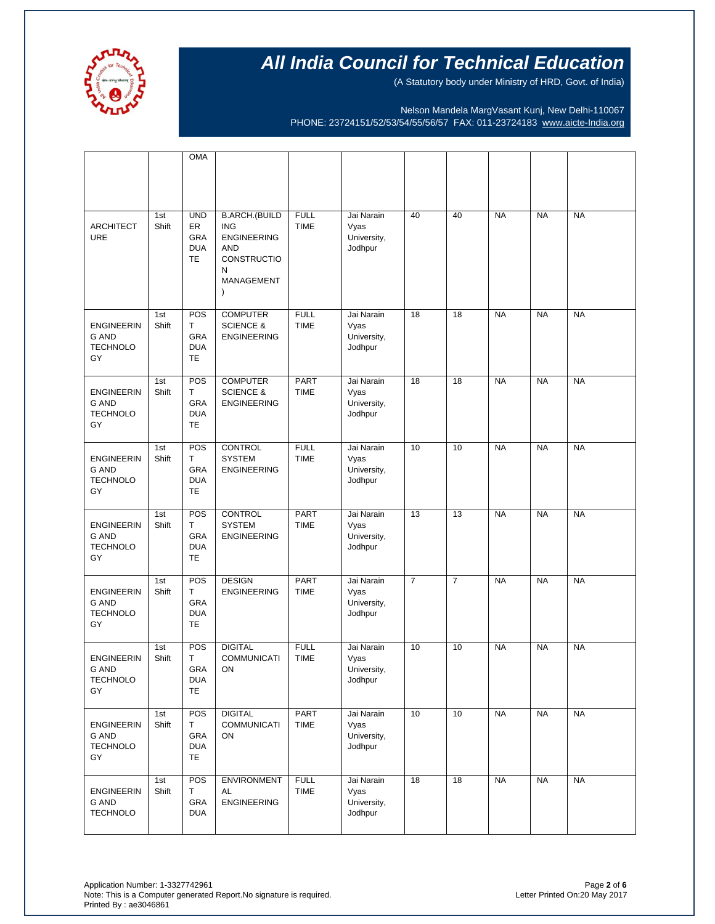

(A Statutory body under Ministry of HRD, Govt. of India)

Nelson Mandela MargVasant Kunj, New Delhi-110067 PHONE: 23724151/52/53/54/55/56/57 FAX: 011-23724183 [www.aicte-India.org](http://www.aicte-india.org/)

|                                                            |              | <b>OMA</b>                                         |                                                                                                                       |                            |                                              |                |                |           |           |           |
|------------------------------------------------------------|--------------|----------------------------------------------------|-----------------------------------------------------------------------------------------------------------------------|----------------------------|----------------------------------------------|----------------|----------------|-----------|-----------|-----------|
|                                                            |              |                                                    |                                                                                                                       |                            |                                              |                |                |           |           |           |
| <b>ARCHITECT</b><br><b>URE</b>                             | 1st<br>Shift | <b>UND</b><br>ER<br>GRA<br><b>DUA</b><br><b>TE</b> | <b>B.ARCH.(BUILD</b><br><b>ING</b><br><b>ENGINEERING</b><br><b>AND</b><br>CONSTRUCTIO<br>N<br>MANAGEMENT<br>$\lambda$ | <b>FULL</b><br><b>TIME</b> | Jai Narain<br>Vyas<br>University,<br>Jodhpur | 40             | 40             | <b>NA</b> | <b>NA</b> | <b>NA</b> |
| <b>ENGINEERIN</b><br><b>G AND</b><br><b>TECHNOLO</b><br>GY | 1st<br>Shift | POS<br>T.<br>GRA<br><b>DUA</b><br>TE               | <b>COMPUTER</b><br><b>SCIENCE &amp;</b><br><b>ENGINEERING</b>                                                         | <b>FULL</b><br><b>TIME</b> | Jai Narain<br>Vyas<br>University,<br>Jodhpur | 18             | 18             | <b>NA</b> | <b>NA</b> | <b>NA</b> |
| <b>ENGINEERIN</b><br><b>G AND</b><br><b>TECHNOLO</b><br>GY | 1st<br>Shift | POS<br>T.<br><b>GRA</b><br><b>DUA</b><br>TE        | <b>COMPUTER</b><br><b>SCIENCE &amp;</b><br><b>ENGINEERING</b>                                                         | <b>PART</b><br><b>TIME</b> | Jai Narain<br>Vyas<br>University,<br>Jodhpur | 18             | 18             | <b>NA</b> | <b>NA</b> | <b>NA</b> |
| <b>ENGINEERIN</b><br><b>G AND</b><br><b>TECHNOLO</b><br>GY | 1st<br>Shift | POS<br>T.<br>GRA<br><b>DUA</b><br>TE               | <b>CONTROL</b><br><b>SYSTEM</b><br><b>ENGINEERING</b>                                                                 | <b>FULL</b><br><b>TIME</b> | Jai Narain<br>Vyas<br>University,<br>Jodhpur | 10             | 10             | <b>NA</b> | <b>NA</b> | <b>NA</b> |
| <b>ENGINEERIN</b><br><b>G AND</b><br><b>TECHNOLO</b><br>GY | 1st<br>Shift | POS<br>T<br><b>GRA</b><br><b>DUA</b><br><b>TE</b>  | CONTROL<br><b>SYSTEM</b><br><b>ENGINEERING</b>                                                                        | PART<br><b>TIME</b>        | Jai Narain<br>Vyas<br>University,<br>Jodhpur | 13             | 13             | <b>NA</b> | <b>NA</b> | <b>NA</b> |
| <b>ENGINEERIN</b><br><b>G AND</b><br><b>TECHNOLO</b><br>GY | 1st<br>Shift | POS<br>T.<br>GRA<br><b>DUA</b><br>TE               | <b>DESIGN</b><br><b>ENGINEERING</b>                                                                                   | <b>PART</b><br><b>TIME</b> | Jai Narain<br>Vyas<br>University,<br>Jodhpur | $\overline{7}$ | $\overline{7}$ | <b>NA</b> | <b>NA</b> | <b>NA</b> |
| <b>ENGINEERIN</b><br>G AND<br><b>TECHNOLO</b><br>GY        | 1st<br>Shift | POS<br>т<br>GRA<br><b>DUA</b><br><b>TE</b>         | <b>DIGITAL</b><br><b>COMMUNICATI</b><br>ON                                                                            | <b>FULL</b><br><b>TIME</b> | Jai Narain<br>Vyas<br>University,<br>Jodhpur | 10             | 10             | <b>NA</b> | <b>NA</b> | <b>NA</b> |
| <b>ENGINEERIN</b><br>G AND<br><b>TECHNOLO</b><br>GY        | 1st<br>Shift | POS<br>Τ<br>GRA<br><b>DUA</b><br><b>TE</b>         | <b>DIGITAL</b><br><b>COMMUNICATI</b><br>ON                                                                            | <b>PART</b><br>TIME        | Jai Narain<br>Vyas<br>University,<br>Jodhpur | 10             | 10             | <b>NA</b> | <b>NA</b> | <b>NA</b> |
| <b>ENGINEERIN</b><br>G AND<br><b>TECHNOLO</b>              | 1st<br>Shift | <b>POS</b><br>T.<br>GRA<br><b>DUA</b>              | <b>ENVIRONMENT</b><br>AL<br><b>ENGINEERING</b>                                                                        | <b>FULL</b><br><b>TIME</b> | Jai Narain<br>Vyas<br>University,<br>Jodhpur | 18             | 18             | <b>NA</b> | <b>NA</b> | <b>NA</b> |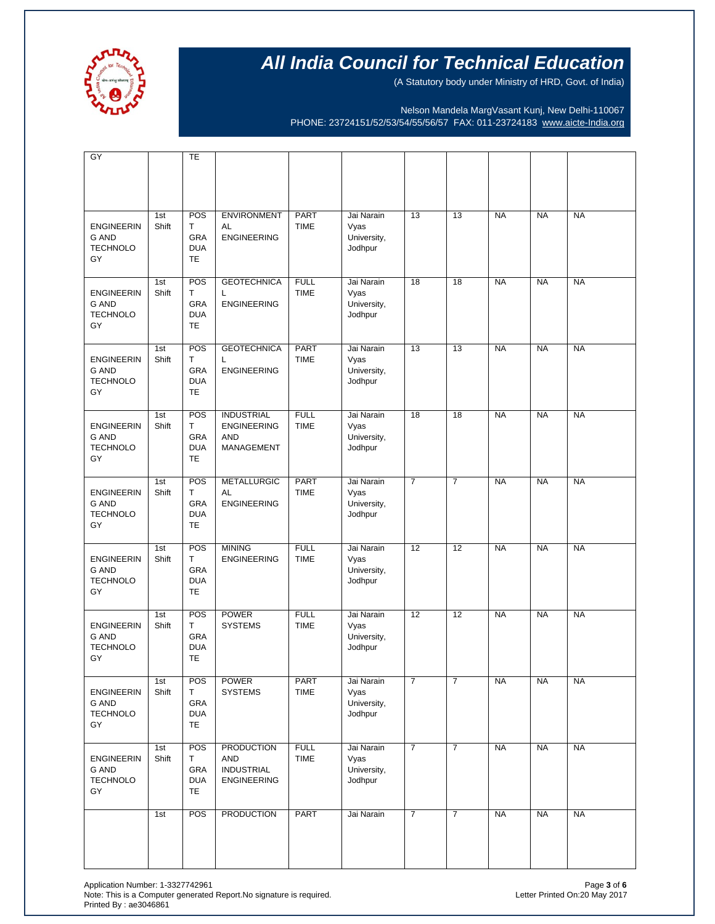

(A Statutory body under Ministry of HRD, Govt. of India)

Nelson Mandela MargVasant Kunj, New Delhi-110067 PHONE: 23724151/52/53/54/55/56/57 FAX: 011-23724183 [www.aicte-India.org](http://www.aicte-india.org/)

| $\overline{GY}$                                            |              | TE                                          |                                                                            |                            |                                              |                |                |           |           |           |
|------------------------------------------------------------|--------------|---------------------------------------------|----------------------------------------------------------------------------|----------------------------|----------------------------------------------|----------------|----------------|-----------|-----------|-----------|
|                                                            |              |                                             |                                                                            |                            |                                              |                |                |           |           |           |
| <b>ENGINEERIN</b><br><b>G AND</b><br><b>TECHNOLO</b><br>GY | 1st<br>Shift | POS<br>T.<br>GRA<br><b>DUA</b><br><b>TE</b> | <b>ENVIRONMENT</b><br>AL<br><b>ENGINEERING</b>                             | <b>PART</b><br><b>TIME</b> | Jai Narain<br>Vyas<br>University,<br>Jodhpur | 13             | 13             | <b>NA</b> | <b>NA</b> | <b>NA</b> |
| <b>ENGINEERIN</b><br><b>G AND</b><br><b>TECHNOLO</b><br>GY | 1st<br>Shift | POS<br>T.<br>GRA<br><b>DUA</b><br><b>TE</b> | <b>GEOTECHNICA</b><br>L<br><b>ENGINEERING</b>                              | <b>FULL</b><br><b>TIME</b> | Jai Narain<br>Vyas<br>University,<br>Jodhpur | 18             | 18             | <b>NA</b> | <b>NA</b> | <b>NA</b> |
| <b>ENGINEERIN</b><br>G AND<br><b>TECHNOLO</b><br>GY        | 1st<br>Shift | POS<br>T.<br>GRA<br><b>DUA</b><br>TE        | <b>GEOTECHNICA</b><br>L<br><b>ENGINEERING</b>                              | <b>PART</b><br><b>TIME</b> | Jai Narain<br>Vyas<br>University,<br>Jodhpur | 13             | 13             | <b>NA</b> | <b>NA</b> | <b>NA</b> |
| <b>ENGINEERIN</b><br>G AND<br><b>TECHNOLO</b><br>GY        | 1st<br>Shift | POS<br>T.<br>GRA<br><b>DUA</b><br><b>TE</b> | <b>INDUSTRIAL</b><br><b>ENGINEERING</b><br><b>AND</b><br><b>MANAGEMENT</b> | <b>FULL</b><br><b>TIME</b> | Jai Narain<br>Vyas<br>University,<br>Jodhpur | 18             | 18             | <b>NA</b> | <b>NA</b> | <b>NA</b> |
| <b>ENGINEERIN</b><br>G AND<br><b>TECHNOLO</b><br>GY        | 1st<br>Shift | POS<br>T.<br>GRA<br><b>DUA</b><br>TE        | <b>METALLURGIC</b><br>AL<br><b>ENGINEERING</b>                             | <b>PART</b><br><b>TIME</b> | Jai Narain<br>Vyas<br>University,<br>Jodhpur | $\overline{7}$ | $\overline{7}$ | <b>NA</b> | <b>NA</b> | <b>NA</b> |
| <b>ENGINEERIN</b><br>G AND<br><b>TECHNOLO</b><br>GY        | 1st<br>Shift | POS<br>T.<br>GRA<br><b>DUA</b><br><b>TE</b> | <b>MINING</b><br><b>ENGINEERING</b>                                        | <b>FULL</b><br><b>TIME</b> | Jai Narain<br>Vyas<br>University,<br>Jodhpur | 12             | 12             | <b>NA</b> | <b>NA</b> | <b>NA</b> |
| <b>ENGINEERIN</b><br><b>G AND</b><br><b>TECHNOLO</b><br>GY | 1st<br>Shift | POS<br>T.<br>GRA<br><b>DUA</b><br><b>TE</b> | <b>POWER</b><br><b>SYSTEMS</b>                                             | <b>FULL</b><br><b>TIME</b> | Jai Narain<br>Vyas<br>University,<br>Jodhpur | 12             | 12             | <b>NA</b> | <b>NA</b> | <b>NA</b> |
| <b>ENGINEERIN</b><br>G AND<br><b>TECHNOLO</b><br>GY        | 1st<br>Shift | POS<br>T.<br>GRA<br><b>DUA</b><br><b>TE</b> | <b>POWER</b><br><b>SYSTEMS</b>                                             | PART<br><b>TIME</b>        | Jai Narain<br>Vyas<br>University,<br>Jodhpur | $\overline{7}$ | $\overline{7}$ | <b>NA</b> | <b>NA</b> | <b>NA</b> |
| <b>ENGINEERIN</b><br>G AND<br><b>TECHNOLO</b><br>GY        | 1st<br>Shift | POS<br>Τ<br>GRA<br><b>DUA</b><br><b>TE</b>  | <b>PRODUCTION</b><br><b>AND</b><br><b>INDUSTRIAL</b><br><b>ENGINEERING</b> | <b>FULL</b><br>TIME        | Jai Narain<br>Vyas<br>University,<br>Jodhpur | $\overline{7}$ | $\overline{7}$ | <b>NA</b> | <b>NA</b> | <b>NA</b> |
|                                                            | 1st          | POS                                         | <b>PRODUCTION</b>                                                          | <b>PART</b>                | Jai Narain                                   | $\overline{7}$ | $\overline{7}$ | <b>NA</b> | <b>NA</b> | <b>NA</b> |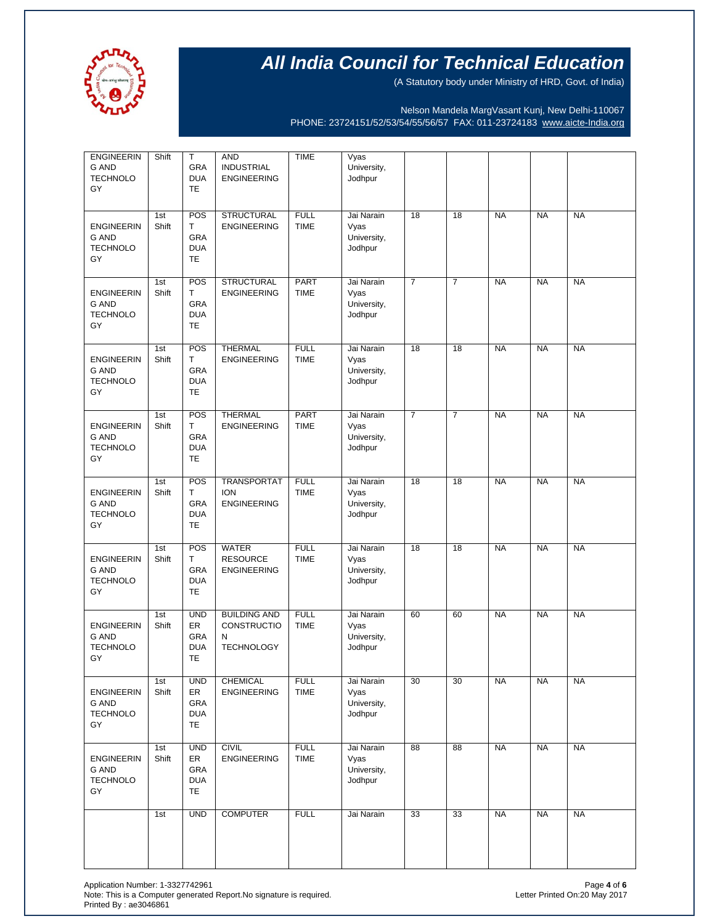

(A Statutory body under Ministry of HRD, Govt. of India)

Nelson Mandela MargVasant Kunj, New Delhi-110067 PHONE: 23724151/52/53/54/55/56/57 FAX: 011-23724183 [www.aicte-India.org](http://www.aicte-india.org/)

| <b>ENGINEERIN</b><br>G AND<br><b>TECHNOLO</b><br>GY        | Shift        | T.<br>GRA<br><b>DUA</b><br>TE                      | AND<br><b>INDUSTRIAL</b><br><b>ENGINEERING</b>               | <b>TIME</b>                | Vyas<br>University,<br>Jodhpur               |                |                |           |           |           |
|------------------------------------------------------------|--------------|----------------------------------------------------|--------------------------------------------------------------|----------------------------|----------------------------------------------|----------------|----------------|-----------|-----------|-----------|
| <b>ENGINEERIN</b><br><b>G AND</b><br><b>TECHNOLO</b><br>GY | 1st<br>Shift | POS<br>T.<br>GRA<br><b>DUA</b><br>TE               | <b>STRUCTURAL</b><br><b>ENGINEERING</b>                      | <b>FULL</b><br><b>TIME</b> | Jai Narain<br>Vyas<br>University,<br>Jodhpur | 18             | 18             | <b>NA</b> | <b>NA</b> | <b>NA</b> |
| <b>ENGINEERIN</b><br>G AND<br><b>TECHNOLO</b><br>GY        | 1st<br>Shift | POS<br>T.<br>GRA<br><b>DUA</b><br>TE               | <b>STRUCTURAL</b><br><b>ENGINEERING</b>                      | PART<br><b>TIME</b>        | Jai Narain<br>Vyas<br>University,<br>Jodhpur | $\overline{7}$ | $\overline{7}$ | <b>NA</b> | <b>NA</b> | <b>NA</b> |
| <b>ENGINEERIN</b><br>G AND<br><b>TECHNOLO</b><br>GY        | 1st<br>Shift | POS<br>T.<br>GRA<br><b>DUA</b><br>TE               | <b>THERMAL</b><br><b>ENGINEERING</b>                         | <b>FULL</b><br><b>TIME</b> | Jai Narain<br>Vyas<br>University,<br>Jodhpur | 18             | 18             | <b>NA</b> | <b>NA</b> | <b>NA</b> |
| <b>ENGINEERIN</b><br>G AND<br><b>TECHNOLO</b><br>GY        | 1st<br>Shift | POS<br>T.<br>GRA<br><b>DUA</b><br>TE               | <b>THERMAL</b><br><b>ENGINEERING</b>                         | PART<br><b>TIME</b>        | Jai Narain<br>Vyas<br>University,<br>Jodhpur | $\overline{7}$ | $\overline{7}$ | <b>NA</b> | <b>NA</b> | <b>NA</b> |
| <b>ENGINEERIN</b><br>G AND<br><b>TECHNOLO</b><br>GY        | 1st<br>Shift | POS<br>T.<br>GRA<br><b>DUA</b><br>TE               | <b>TRANSPORTAT</b><br><b>ION</b><br><b>ENGINEERING</b>       | <b>FULL</b><br><b>TIME</b> | Jai Narain<br>Vyas<br>University,<br>Jodhpur | 18             | 18             | <b>NA</b> | <b>NA</b> | <b>NA</b> |
| <b>ENGINEERIN</b><br>G AND<br><b>TECHNOLO</b><br>GY        | 1st<br>Shift | POS<br>T.<br>GRA<br><b>DUA</b><br>TE               | <b>WATER</b><br><b>RESOURCE</b><br><b>ENGINEERING</b>        | <b>FULL</b><br><b>TIME</b> | Jai Narain<br>Vyas<br>University,<br>Jodhpur | 18             | 18             | <b>NA</b> | <b>NA</b> | <b>NA</b> |
| <b>ENGINEERIN</b><br>G AND<br><b>TECHNOLO</b><br>GY        | 1st<br>Shift | <b>UND</b><br>ER<br>GRA<br><b>DUA</b><br>TE        | <b>BUILDING AND</b><br>CONSTRUCTIO<br>N<br><b>TECHNOLOGY</b> | <b>FULL</b><br><b>TIME</b> | Jai Narain<br>Vyas<br>University,<br>Jodhpur | 60             | 60             | <b>NA</b> | <b>NA</b> | <b>NA</b> |
| <b>ENGINEERIN</b><br>G AND<br><b>TECHNOLO</b><br>GY        | 1st<br>Shift | <b>UND</b><br>ER<br>GRA<br><b>DUA</b><br>TE        | CHEMICAL<br><b>ENGINEERING</b>                               | <b>FULL</b><br><b>TIME</b> | Jai Narain<br>Vyas<br>University,<br>Jodhpur | 30             | 30             | <b>NA</b> | <b>NA</b> | <b>NA</b> |
| <b>ENGINEERIN</b><br>G AND<br><b>TECHNOLO</b><br>GY        | 1st<br>Shift | <b>UND</b><br>ER<br>GRA<br><b>DUA</b><br><b>TE</b> | <b>CIVIL</b><br><b>ENGINEERING</b>                           | <b>FULL</b><br><b>TIME</b> | Jai Narain<br>Vyas<br>University,<br>Jodhpur | 88             | 88             | <b>NA</b> | <b>NA</b> | <b>NA</b> |
|                                                            | 1st          | <b>UND</b>                                         | <b>COMPUTER</b>                                              | <b>FULL</b>                | Jai Narain                                   | 33             | 33             | <b>NA</b> | <b>NA</b> | <b>NA</b> |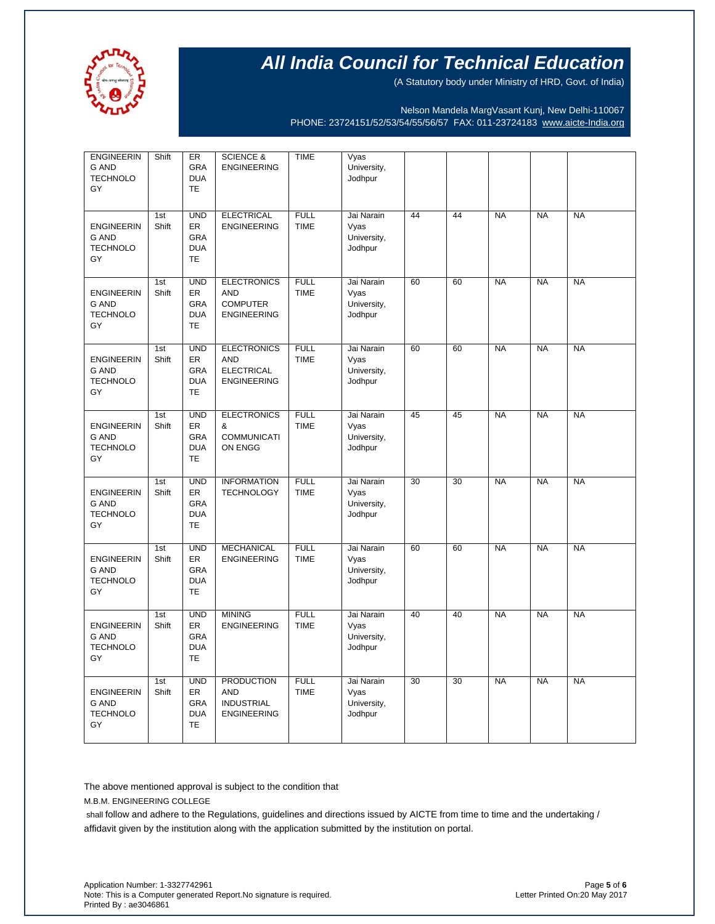

(A Statutory body under Ministry of HRD, Govt. of India)

Nelson Mandela MargVasant Kunj, New Delhi-110067 PHONE: 23724151/52/53/54/55/56/57 FAX: 011-23724183 [www.aicte-India.org](http://www.aicte-india.org/)

| <b>ENGINEERIN</b><br><b>G AND</b><br><b>TECHNOLO</b><br>GY | Shift        | ER<br><b>GRA</b><br><b>DUA</b><br>TE                      | <b>SCIENCE &amp;</b><br><b>ENGINEERING</b>                                  | <b>TIME</b>                | Vyas<br>University,<br>Jodhpur               |                 |                 |           |           |           |
|------------------------------------------------------------|--------------|-----------------------------------------------------------|-----------------------------------------------------------------------------|----------------------------|----------------------------------------------|-----------------|-----------------|-----------|-----------|-----------|
| <b>ENGINEERIN</b><br><b>G AND</b><br><b>TECHNOLO</b><br>GY | 1st<br>Shift | <b>UND</b><br>ER<br>GRA<br><b>DUA</b><br><b>TE</b>        | <b>ELECTRICAL</b><br><b>ENGINEERING</b>                                     | <b>FULL</b><br><b>TIME</b> | Jai Narain<br>Vyas<br>University,<br>Jodhpur | 44              | 44              | <b>NA</b> | <b>NA</b> | <b>NA</b> |
| <b>ENGINEERIN</b><br><b>G AND</b><br><b>TECHNOLO</b><br>GY | 1st<br>Shift | <b>UND</b><br>ER<br>GRA<br><b>DUA</b><br><b>TE</b>        | <b>ELECTRONICS</b><br><b>AND</b><br><b>COMPUTER</b><br><b>ENGINEERING</b>   | <b>FULL</b><br><b>TIME</b> | Jai Narain<br>Vyas<br>University,<br>Jodhpur | 60              | 60              | <b>NA</b> | <b>NA</b> | <b>NA</b> |
| <b>ENGINEERIN</b><br>G AND<br><b>TECHNOLO</b><br>GY        | 1st<br>Shift | <b>UND</b><br>ER<br><b>GRA</b><br><b>DUA</b><br><b>TE</b> | <b>ELECTRONICS</b><br><b>AND</b><br><b>ELECTRICAL</b><br><b>ENGINEERING</b> | <b>FULL</b><br><b>TIME</b> | Jai Narain<br>Vyas<br>University,<br>Jodhpur | 60              | 60              | <b>NA</b> | <b>NA</b> | <b>NA</b> |
| <b>ENGINEERIN</b><br><b>G AND</b><br><b>TECHNOLO</b><br>GY | 1st<br>Shift | <b>UND</b><br><b>ER</b><br>GRA<br><b>DUA</b><br>TE        | <b>ELECTRONICS</b><br>&<br><b>COMMUNICATI</b><br>ON ENGG                    | <b>FULL</b><br><b>TIME</b> | Jai Narain<br>Vyas<br>University,<br>Jodhpur | 45              | 45              | <b>NA</b> | <b>NA</b> | <b>NA</b> |
| <b>ENGINEERIN</b><br><b>G AND</b><br><b>TECHNOLO</b><br>GY | 1st<br>Shift | <b>UND</b><br>ER<br><b>GRA</b><br><b>DUA</b><br><b>TE</b> | <b>INFORMATION</b><br><b>TECHNOLOGY</b>                                     | <b>FULL</b><br><b>TIME</b> | Jai Narain<br>Vyas<br>University,<br>Jodhpur | $\overline{30}$ | $\overline{30}$ | <b>NA</b> | <b>NA</b> | <b>NA</b> |
| <b>ENGINEERIN</b><br><b>G AND</b><br><b>TECHNOLO</b><br>GY | 1st<br>Shift | <b>UND</b><br>ER<br><b>GRA</b><br><b>DUA</b><br><b>TE</b> | <b>MECHANICAL</b><br><b>ENGINEERING</b>                                     | <b>FULL</b><br><b>TIME</b> | Jai Narain<br>Vyas<br>University,<br>Jodhpur | 60              | 60              | <b>NA</b> | <b>NA</b> | <b>NA</b> |
| <b>ENGINEERIN</b><br><b>G AND</b><br><b>TECHNOLO</b><br>GY | 1st<br>Shift | <b>UND</b><br>ER<br><b>GRA</b><br><b>DUA</b><br><b>TE</b> | <b>MINING</b><br><b>ENGINEERING</b>                                         | <b>FULL</b><br><b>TIME</b> | Jai Narain<br>Vyas<br>University,<br>Jodhpur | 40              | 40              | <b>NA</b> | <b>NA</b> | <b>NA</b> |
| <b>ENGINEERIN</b><br><b>G AND</b><br><b>TECHNOLO</b><br>GY | 1st<br>Shift | <b>UND</b><br>ER<br><b>GRA</b><br><b>DUA</b><br><b>TE</b> | <b>PRODUCTION</b><br><b>AND</b><br><b>INDUSTRIAL</b><br><b>ENGINEERING</b>  | <b>FULL</b><br><b>TIME</b> | Jai Narain<br>Vyas<br>University,<br>Jodhpur | $\overline{30}$ | 30              | <b>NA</b> | <b>NA</b> | <b>NA</b> |

The above mentioned approval is subject to the condition that

M.B.M. ENGINEERING COLLEGE

shall follow and adhere to the Regulations, guidelines and directions issued by AICTE from time to time and the undertaking / affidavit given by the institution along with the application submitted by the institution on portal.